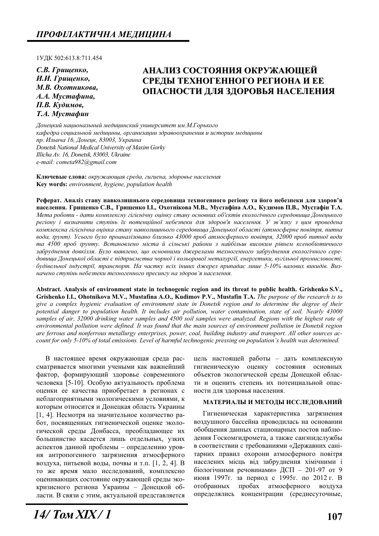1ɍȾɄ 502:613.8:711.454

*С.В. Грищенко,* **И.И.** Грищенко,  $M.B.$  *Охотникова*. *Ⱥ.Ⱥ. Ɇɭɫɬɚɮɢɧɚ,* **П.В.** Кудимов. *Т.А. Мустафин* 

# **ȺɇȺɅɂɁ ɋɈɋɌɈəɇɂə ɈɄɊɍɀȺɘɓȿɃ ɋɊȿȾɕ ɌȿɏɇɈȽȿɇɇɈȽɈ ɊȿȽɂɈɇȺ ɂ ȿȿ ОПАСНОСТИ ДЛЯ ЗДОРОВЬЯ НАСЕЛЕНИЯ**

 $\bar{A}$ онецкий национальный медицинский университет им.М.Горького кафедра социальной медицины, организации здравоохранения и истории медицины *np. Ильича 16, Донецк, 83003, Украина Donetsk National Medical University of Maxim Gorky Illicha Av. 16, Donetsk, 83003, Ukraine e-mail: cometa982@gmail.com* 

Ключевые слова: окружающая среда, гигиена, здоровье населения **Key words:** *environment, hygiene, population health* 

Реферат. Аналіз стану навколишнього середовища техногенного регіону та його небезпеки для здоров'я населення. Грищенко С.В., Грищенко І.І., Охотнікова М.В., Мустафіна А.О., Кудимов П.В., Мустафін Т.А. Мета роботи - дати комплексну гігієнічну оцінку стану основних об'єктів екологічного середовища Донецького  $p$ егіону і визначити ступінь їх потенційної небезпеки для здоров'я населення. У зв'язку з цим проведена комплексна гігієнічна оцінка стану навколишнього середовища Донецької області (атмосферне повітря, питна  $a$ <sub>6</sub> *унит)*. Усього було проаналізовано близько 43000 проб атмосферного повітря, 32000 проб питної води та 4500 проб трунту. Встановлено міста й сільські райони з найбільш високим рівнем ксенобіотичного забруднення довкілля. Було виявлено, що основними джерелами техногенного забруднення екологічного середовища Донецької області є підприємства чорної і кольорової металургії, енергетики, вугільної промисловості,  $\delta$ удівельної індустрії, транспорт. На частку всіх інших джерел припадає лише 5-10% валових викидів. Виз*ɧɚɱɟɧɨ ɫɬɭɩɿɧɶ ɧɟɛɟɡɩɟɤɢ ɬɟɯɧɨɝɟɧɧɨɝɨ ɩɪɟɫɢɧɝɭ ɧɚ ɡɞɨɪɨɜ'ɹ ɧɚɫɟɥɟɧɧɹ.*

**Abstract. Analysis of environment state in technogenic region and its threat to public health. Grishenko S.V., Grishenko I.I., Ohotnikova M.V., Mustafina A.O., Kudimov P.V., Mustafin T.A.** *The purpose of the research is to give a complex hygienic evaluation of environment state in Donetsk region and to determine the degree of their potential danger to population health. It includes air pollution, water contamination, state of soil. Nearly 43000 samples of air, 32000 drinking water samples and 4500 soil samples were analyzed. Regions with the highest rate of environmental pollution were defined. It was found that the main sources of environment pollution in Donetsk region are ferrous and nonferrous metallurgy enterprises, power, coal, building industry and transport. All other sources account for only 5-10% of total emissions. Level of harmful technogenic pressing on population's health was determined.* 

В настоящее время окружающая среда рассматривается многими учеными как важнейший фактор, формирующий здоровье современного человека [5-10]. Особую актуальность проблема оценки ее качества приобретает в регионах с неблагоприятными экологическими условиями, к которым относится и Донецкая область Украины [1, 4]. Несмотря на значительное количество работ, посвященных гигиенической оценке экологической среды Донбасса, преобладающее их большинство касается лишь отдельных, узких аспектов данной проблемы – определению уровня антропогенного загрязнения атмосферного воздуха, питьевой воды, почвы и т.п. [1, 2, 4]. В то же время мало исследований, комплексно оценивающих состояние окружающей среды экокризисного региона Украины – Донецкой области. В связи с этим, актуальной представляется

цель настоящей работы – дать комплексную гигиеническую оценку состояния основных объектов экологической среды Донецкой области и оценить степень их потенциальной опасности для здоровья населения.

#### МАТЕРИАЛЫ И МЕТОДЫ ИССЛЕДОВАНИЙ

Гигиеническая характеристика загрязнения воздушного бассейна проводилась на основании обобщения данных стационарных постов наблюдения Госкомгидромета, а также санэпидслужбы в соответствии с требованиями «Державних санітарних правил охорони атмосферного повітря населених місць від забруднення хімічними і біологічними речовинами» ДСП - 201-97 от 9 июня 1997г. за период с 1995г. по 2012 г. В отобранных пробах атмосферного воздуха определялись концентрации (среднесуточные,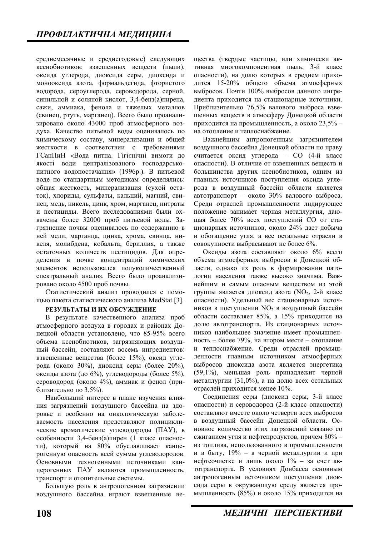среднемесячные и среднегодовые) следующих ксенобиотиков: взвешенных веществ (пыли), оксида углерода, диоксида серы, диоксида и монооксида азота, формальдегида, фтористого водорода, сероуглерода, сероводорода, серной, синильной и соляной кислот, 3,4-бенз(а)пирена, сажи, аммиака, фенола и тяжелых металлов (свинец, ртуть, марганец). Всего было проанализировано около 43000 проб атмосферного воздуха. Качество питьевой воды оценивалось по химическому составу, минерализации и общей жесткости в соответствии с требованиями ГСанПиН «Вода питна. Гігієнічні вимоги до якості води централізованого господарськопитного водопостачання» (1996р.). В питьевой воде по стандартным методикам определялись: общая жесткость, минерализация (сухой остаток), хлориды, сульфаты, кальций, магний, свинец, медь, никель, цинк, хром, марганец, нитраты и пестициды. Всего исследованиями были охвачены более 32000 проб питьевой воды. Загрязнение почвы оценивалось по содержанию в ней меди, марганца, цинка, хрома, свинца, никеля, молибдена, кобальта, бериллия, а также остаточных количеств пестицидов. Для определения в почве концентраций химических элементов использовался полуколичественный спектральный анализ. Всего было проанализировано около 4500 проб почвы.

Статистический анализ проводился с помощью пакета статистического анализа MedStat [3].

#### РЕЗУЛЬТАТЫ И ИХ ОБСУЖДЕНИЕ

В результате качественного анализа проб атмосферного воздуха в городах и районах Донецкой области установлено, что 85-95% всего объема ксенобиотиков, загрязняющих воздушный бассейн, составляют восемь ингредиентов: взвешенные вещества (более 15%), оксид углерода (около 30%), диоксид серы (более 20%), оксиды азота (до  $6\%$ ), углеводороды (более 5%), сероводород (около 4%), аммиак и фенол (при- $5\%$ ).

Наибольший интерес в плане изучения влияния загрязнений воздушного бассейна на здоровье и особенно на онкологическую заболеваемость населения представляют полициклические ароматические углеводороды (ПАУ), в особенности 3,4-бенз(а)пирен (1 класс опасности), который на 80% обуславливает канцерогенную опасность всей суммы углеводородов. Основными техногенными источниками канцерогенных ПАУ являются промышленность, транспорт и отопительные системы.

Большую роль в антропогенном загрязнении воздушного бассейна играют взвешенные вещества (твердые частицы, или химически активная многокомпонентная пыль, 3-й класс опасности), на долю которых в среднем приходится  $15{\text -}20\%$  общего объема атмосферных выбросов. Почти 100% выбросов данного ингредиента приходится на стационарные источники. Приблизительно 76,5% валового выброса взвешенных вешеств в атмосферу Донецкой области приходится на промышленность, а около 23,5% – на отопление и теплоснабжение.

Важнейшим антропогенным загрязнителем воздушного бассейна Донецкой области по праву считается оксид углерода – СО (4-й класс опасности). В отличие от взвешенных веществ и большинства других ксенобиотиков, одним из главных источников поступления оксида углерода в воздушный бассейн области является автотранспорт – около 30% валового выброса. Среди отраслей промышленности лидирующее положение занимает черная металлургия, дающая более 70% всех поступлений СО от стационарных источников, около 24% дает добыча и обогащение угля, а все остальные отрасли в совокупности выбрасывают не более 6%.

Оксиды азота составляют около 6% всего объема атмосферных выбросов в Донецкой области, однако их роль в формировании патологии населения также высоко значима. Важнейшим и самым опасным веществом из этой группы является диоксид азота (NO<sub>2</sub>, 2-й класс опасности). Удельный вес стационарных источников в поступлении NO<sub>2</sub> в воздушный бассейн области составляет 85%, а 15% приходится на долю автотранспорта. Из стационарных источников наибольшее значение имеет промышленность – более 79%, на втором месте – отопление и теплоснабжение. Среди отраслей промышленности главным источником атмосферных выбросов диоксида азота является энергетика (59,1%), меньшая роль принадлежит черной металлургии (31,0%), а на долю всех остальных отраслей приходится менее 10%.

Соединения серы (диоксид серы, 3-й класс опасности) и сероводород (2-й класс опасности) составляют вместе около четверти всех выбросов в воздушный бассейн Донецкой области. Основное количество этих загрязнений связано со сжиганием угля и нефтепродуктов, причем  $80\%$  – из топлива, использованного в промышленности и в быту,  $19\%$  – в черной металлургии и при нефтеочистке и лишь около  $1\%$  – за счет автотранспорта. В условиях Донбасса основным антропогенным источником поступления диоксида серы в окружающую среду является промышленность (85%) и около 15% приходится на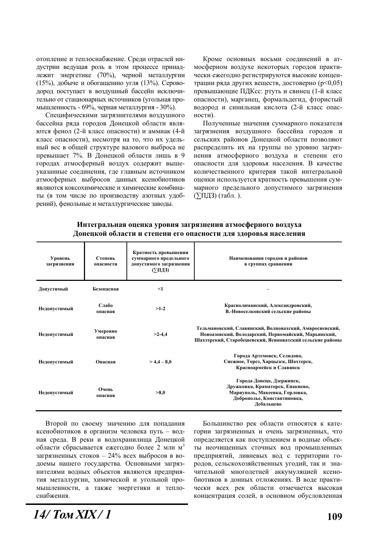отопление и теплоснабжение. Среди отраслей индустрии ведущая роль в этом процессе принадлежит энергетике (70%), черной металлургии (15%), добыче и обогащению угля (13%). Сероводород поступает в воздушный бассейн исключительно от стационарных источников (угольная промышленность - 69%, черная металлургия - 30%).

Специфическими загрязнителями воздушного бассейна ряда городов Донецкой области являытся фенол (2-й класс опасности) и аммиак (4-й класс опасности), несмотря на то, что их удельный вес в общей структуре валового выброса не превышает 7%. В Донецкой области лишь в 9 городах атмосферный воздух содержит вышеуказанные соединения, где главным источником атмосферных выбросов данных ксенобиотиков являются коксохимические и химические комбинаты (в том числе по производству азотных удобрений), фенольные и металлургические заводы.

Кроме основных восьми соединений в атмосферном воздухе некоторых городов практически ежегодно регистрируются высокие концентрации ряда других веществ, достоверно ( $p<0,05$ ) превышающие ПДКсс: ртуть и свинец (1-й класс опасности), марганец, формальдегид, фтористый водород и синильная кислота (2-й класс опасности).

Полученные значения суммарного показателя загрязнения воздушного бассейна городов и сельских районов Донецкой области позволяют распределить их на группы по уровню загрязнения атмосферного воздуха и степени его опасности для здоровья населения. В качестве количественного критерия такой интегральной оценки используется кратность превышения суммарного предельного допустимого загрязнения  $(\Sigma\Pi\mu\bar{3})$  (табл. ).

| Уровень<br>загрязнения | Степень<br>опасности | Кратность превышения<br>суммарного предельного<br>допустимого загрязнения<br>(∑ПДЗ) | Наименования городов и районов<br>в группах сравнения                                                                                                                       |
|------------------------|----------------------|-------------------------------------------------------------------------------------|-----------------------------------------------------------------------------------------------------------------------------------------------------------------------------|
| Допустимый             | Безопасная           | $\leq$ 1                                                                            |                                                                                                                                                                             |
| Недопустимый           | Слабо<br>опасная     | $>1-2$                                                                              | Краснолиманский, Александровский,<br>В.-Новоселковский сельские районы                                                                                                      |
| Недопустимый           | Умеренно<br>опасная  | $>2-4,4$                                                                            | Тельмановский, Славянский, Волновахский, Амвросиевский,<br>Новоазовский, Володарский, Первомайский, Марьинский,<br>Шахтерский, Старобешевский, Ясиноватский сельские районы |
| Недопустимый           | Опасная              | $> 4,4-8,0$                                                                         | Города Артемовск, Селидово,<br>Снежное, Торез, Харцызск, Шахтерск,<br>Красноармейск и Славянск                                                                              |
| Недопустимый           | Очень<br>опасная     | >8,0                                                                                | Города Донецк, Дзержинск,<br>Дружковка, Краматорск, Енакиево,<br>Мариуполь, Макеевка, Горловка,<br>Доброполье, Константиновка,<br>Дебальцево                                |

### Интегральная оценка уровня загрязнения атмосферного воздуха Донецкой области и степени его опасности для здоровья населения

Второй по своему значению для попадания ксенобиотиков в организм человека путь – водная среда. В реки и водохранилища Донецкой области сбрасывается ежегодно более 2 млн м<sup>3</sup> загрязненных стоков – 24% всех выбросов в водоемы нашего государства. Основными загрязнителями водных объектов являются предприятия металлургии, химической и угольной промышленности, а также энергетики и теплоснабжения.

Большинство рек области относятся к категории загрязненных и очень загрязненных, что определяется как поступлением в водные объекты неочищенных сточных вод промышленных предприятий, ливневых вод с территории городов, сельскохозяйственных угодий, так и значительной многолетней аккумуляцией ксенобиотиков в донных отложениях. В воде практически всех рек области отмечается высокая концентрация солей, в основном обусловленная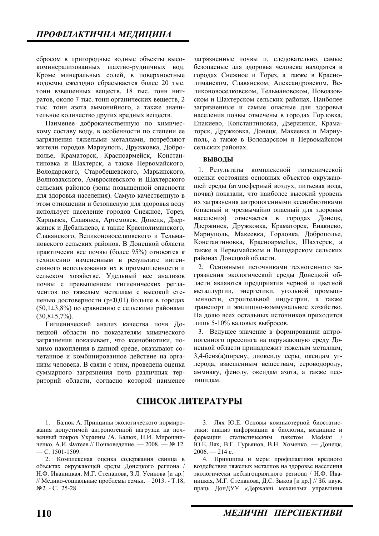сбросом в пригородные водные объекты высокоминерализованных шахтно-рудничных вод. Кроме минеральных солей, в поверхностные водоемы ежегодно сбрасывается более 20 тыс. тонн взвешенных веществ, 18 тыс. тонн нитратов, около 7 тыс. тонн органических веществ, 2 тыс. тонн азота аммонийного, а также значительное количество других вредных веществ.

Наименее доброкачественную по химическому составу воду, в особенности по степени ее загрязнения тяжелыми металлами, потребляют жители городов Мариуполь, Дружковка, Доброполье, Краматорск, Красноармейск, Константиновка и Шахтерск, а также Первомайского, Володарского, Старобешевского, Марьинского, Волновахского, Амвросиевского и Шахтерского сельских районов (зоны повышенной опасности для здоровья населения). Самую качественную в этом отношении и безопасную для здоровья воду использует население городов Снежное, Торез, Харцызск, Славянск, Артемовск, Донецк, Дзержинск и Дебальцево, а также Краснолиманского, Славянского, Великоновоселковского и Тельмановского сельских районов. В Донецкой области практически все почвы (более 95%) относятся к техногенно измененным в результате интенсивного использования их в промышленности и сельском хозяйстве. Удельный вес анализов почвы с превышением гигиенических регламентов по тяжелым металлам с высокой степенью достоверности ( $p<0,01$ ) больше в городах (50,1 $\pm$ 3,8%) по сравнению с сельскими районами  $(30,8±5,7%).$ 

Гигиенический анализ качества почв Донецкой области по показателям химического загрязнения показывает, что ксенобиотики, помимо накопления в данной среде, оказывают сочетанное и комбинированное действие на организм человека. В связи с этим, проведена оценка суммарного загрязнения почв различных территорий области, согласно которой наименее загрязненные почвы и, следовательно, самые безопасные для здоровья человека находятся в городах Снежное и Торез, а также в Краснолиманском, Славянском, Александровском, Великоновоселковском, Тельмановском, Новоазовском и Шахтерском сельских районах. Наиболее загрязненные и самые опасные для здоровья населения почвы отмечены в городах Горловка. Енакиево, Константиновка, Дзержинск, Краматорск, Дружковка, Донецк, Макеевка и Мариуполь, а также в Володарском и Первомайском сельских районах.

#### **ВЫВОДЫ**

1. Результаты комплексной гигиенической оценки состояния основных объектов окружающей среды (атмосферный воздух, питьевая вода, почва) показали, что наиболее высокий уровень их загрязнения антропогенными ксенобиотиками (опасный и чрезвычайно опасный для здоровья населения) отмечается в городах Донецк, Дзержинск, Дружковка, Краматорск, Енакиево, Мариуполь, Макеевка, Горловка, Доброполье, Константиновка, Красноармейск, Шахтерск, а также в Первомайском и Володарском сельских районах Донецкой области.

2. Основными источниками техногенного загрязнения экологической среды Донецкой области являются предприятия черной и цветной металлургии. энергетики, угольной промышленности, строительной индустрии, а также транспорт и жилищно-коммунальное хозяйство. На долю всех остальных источников приходится лишь 5-10% валовых выбросов.

3. Ведущее значение в формировании антропогенного прессинга на окружающую среду Донецкой области принадлежит тяжелым металлам, 3,4-бенз(а)пирену, диоксиду серы, оксидам углерода, взвешенным веществам, сероводороду, аммиаку, фенолу, оксидам азота, а также пестицидам.

## СПИСОК ЛИТЕРАТУРЫ

1. Балюк А. Принципы экологического нормирования допустимой антропогенной нагрузки на почвенный покров Украины /А. Балюк, Н.И. Мирошниченко, А.И. Фатеев // Почвоведение. — 2008. — № 12.  $-$ C. 1501-1509.

2. Комплексная оценка содержания свинца в объектах окружающей среды Донецкого региона / Н.Ф. Иваницкая, М.Г. Степанова, З.Л. Усикова [и др.] // Медико-социальные проблемы семьи. – 2013. - Т.18, No<sub>2.</sub> − C. 25-28.

3. Лях Ю.Е. Основы компьютерной биостатистики: анализ информации в биологии, медицине и фармации статистическим пакетом Medstat Ю.Е. Лях, В.Г. Гурьянов, В.Н. Хоменко. — Донецк,  $2006 - 214 c.$ 

4. Принципы и меры профилактики вредного воздействия тяжелых металлов на здоровье населения экологически неблагоприятного региона / Н.Ф. Иваницкая, М.Г. Степанова, Д.С. Зыков [и др.] // Зб. наук. праць ДонДУУ «Державні механізми управління